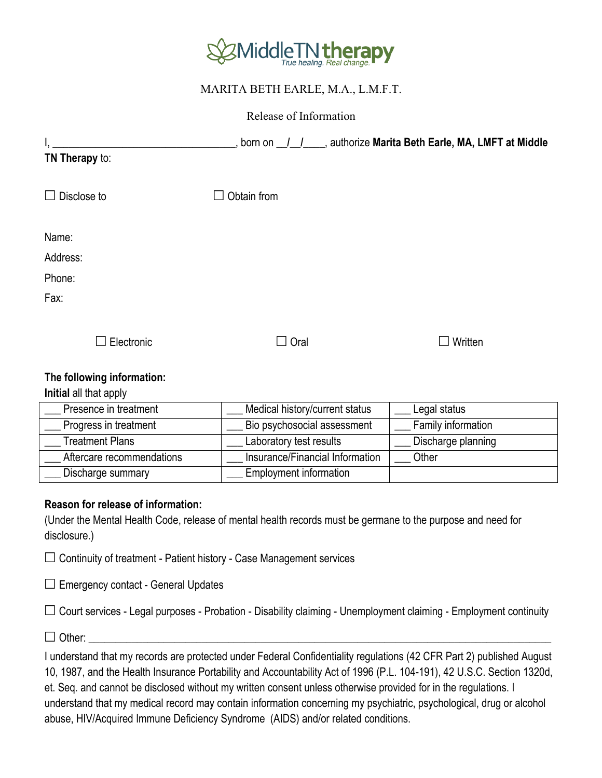

# MARITA BETH EARLE, M.A., L.M.F.T.

Release of Information

|                    |                      | _, born on __/__/____, authorize Marita Beth Earle, MA, LMFT at Middle |
|--------------------|----------------------|------------------------------------------------------------------------|
| TN Therapy to:     |                      |                                                                        |
| $\Box$ Disclose to | Obtain from          |                                                                        |
| Name:              |                      |                                                                        |
| Address:           |                      |                                                                        |
| Phone:             |                      |                                                                        |
| Fax:               |                      |                                                                        |
| Electronic         | Oral<br>$\mathbf{1}$ | Written                                                                |

## **The following information:**

### **Initial** all that apply

| Presence in treatment     | Medical history/current status  | Legal status       |
|---------------------------|---------------------------------|--------------------|
| Progress in treatment     | Bio psychosocial assessment     | Family information |
| Treatment Plans           | Laboratory test results         | Discharge planning |
| Aftercare recommendations | Insurance/Financial Information | Other              |
| Discharge summary         | <b>Employment information</b>   |                    |

### **Reason for release of information:**

(Under the Mental Health Code, release of mental health records must be germane to the purpose and need for disclosure.)

 $\Box$  Continuity of treatment - Patient history - Case Management services

 $\Box$  Emergency contact - General Updates

 $\Box$  Court services - Legal purposes - Probation - Disability claiming - Unemployment claiming - Employment continuity

☐ Other: \_\_\_\_\_\_\_\_\_\_\_\_\_\_\_\_\_\_\_\_\_\_\_\_\_\_\_\_\_\_\_\_\_\_\_\_\_\_\_\_\_\_\_\_\_\_\_\_\_\_\_\_\_\_\_\_\_\_\_\_\_\_\_\_\_\_\_\_\_\_\_\_\_\_\_\_\_\_\_\_\_\_\_\_\_\_

I understand that my records are protected under Federal Confidentiality regulations (42 CFR Part 2) published August 10, 1987, and the Health Insurance Portability and Accountability Act of 1996 (P.L. 104-191), 42 U.S.C. Section 1320d, et. Seq. and cannot be disclosed without my written consent unless otherwise provided for in the regulations. I understand that my medical record may contain information concerning my psychiatric, psychological, drug or alcohol abuse, HIV/Acquired Immune Deficiency Syndrome (AIDS) and/or related conditions.